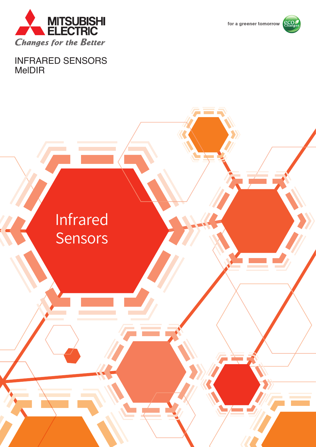

for a greener tomorrow



INFRARED SENSORS MelDIR

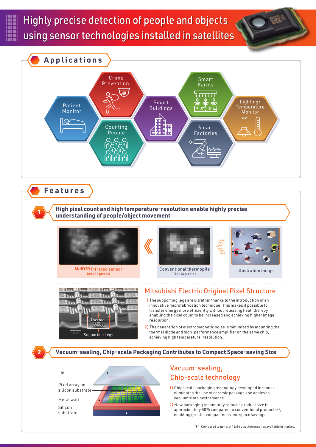# Highly precise detection of people and objects Highly precise detection of people and objects using sensor technologies installed in satellites using sensor technologies installed in satellites



Metal wall Silicon substrate

- eliminates the use of ceramic package and achieves vacuum state performance.
- 2) New packaging technology reduces product size to approximately 80% compared to conventional products $*_1$ , enabling greater compactness and space savings.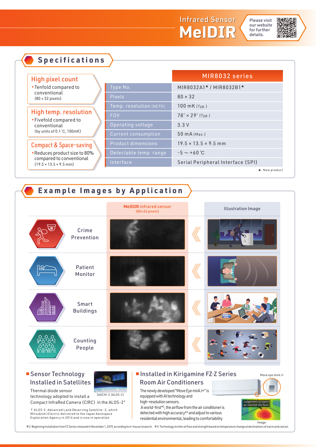



| <b>High pixel count</b>                                                                                 |                         | MIR8032 series                    |
|---------------------------------------------------------------------------------------------------------|-------------------------|-----------------------------------|
| • Tenfold compared to<br>conventional<br>$(80 \times 32 \text{ pixels})$                                | Type No.                | MIR8032A1*/MIR8032B1*             |
|                                                                                                         | <b>Pixels</b>           | $80 \times 32$                    |
|                                                                                                         | Temp. resolution (NETD) | 100 mK (Typ.)                     |
| <b>High temp. resolution</b><br>• Fivefold compared to                                                  | <b>FOV</b>              | $78^\circ \times 29^\circ$ (Typ.) |
| conventional                                                                                            | Operating voltage       | 3.3V                              |
| (by units of 0.1 °C, 100mK)                                                                             | Current consumption     | 50 mA (Max.)                      |
| <b>Compact &amp; Space-saving</b>                                                                       | Product dimensions      | $19.5 \times 13.5 \times 9.5$ mm  |
| - Reduces product size to 80%<br>compared to conventional<br>$(19.5 \times 13.5 \times 9.5 \text{ mm})$ | Detectable temp. range  | $-5 \sim +60^{\circ}C$            |
|                                                                                                         | Interface               | Serial Peripheral Interface (SPI) |

**Example Images by Application** Crime Prevention **MelDIR** infrared sensor<br>(80×32 pixels) Illustration Image Patient Monitor Smart Buildings Counting People

#### ■ Sensor Technology Installed in Satellites

**Specifications**

technology adopted to install a

Compact InfraRed Camera (CIRC) in the ALOS-2†

† ALOS-2: Advanced Land Observing Satellite -2, which<br>Mitsubishi Electric delivered to the Japan Aerospace<br>Exploration Agency in 2014 and is now in operation

Thermal diode sensor



DAICHI-2 (ALOS-2)

### ■ Installed in Kirigamine FZ·Z Series Room Air Conditioners

The newly developed "Move Eye mirA.I+" is equipped with AI technology and high-resolution sensors.

A world-first<sup>\*2</sup>, the airflow from the air conditioner is detected with high accuracy $*$ <sup>3</sup> and adjust to various residential environmental, leading to comfortability



Move eye mirA.I+

2: Beginning Installation from FZ Series released in November 1, 2019, according to in-house research. 3: Technology to infer airflow and strength based on temperature change at destinations of warm and cool air.